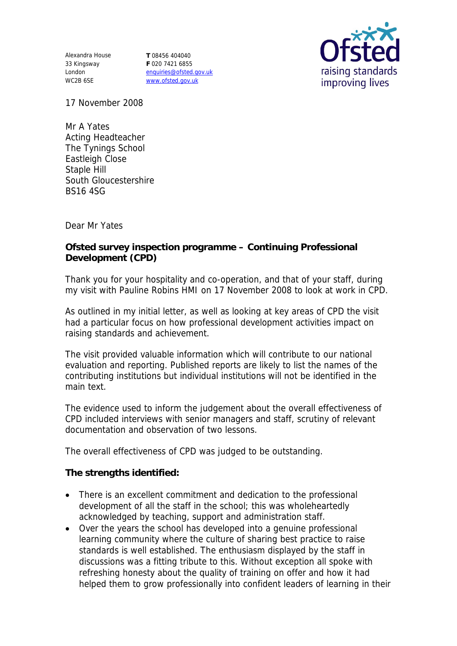Alexandra House 33 Kingsway London WC2B 6SE

**T** 08456 404040 **F** 020 7421 6855 enquiries@ofsted.gov.uk www.ofsted.gov.uk



17 November 2008

Mr A Yates Acting Headteacher The Tynings School Eastleigh Close Staple Hill South Gloucestershire BS16 4SG

Dear Mr Yates

**Ofsted survey inspection programme – Continuing Professional Development (CPD)**

Thank you for your hospitality and co-operation, and that of your staff, during my visit with Pauline Robins HMI on 17 November 2008 to look at work in CPD.

As outlined in my initial letter, as well as looking at key areas of CPD the visit had a particular focus on how professional development activities impact on raising standards and achievement.

The visit provided valuable information which will contribute to our national evaluation and reporting. Published reports are likely to list the names of the contributing institutions but individual institutions will not be identified in the main text.

The evidence used to inform the judgement about the overall effectiveness of CPD included interviews with senior managers and staff, scrutiny of relevant documentation and observation of two lessons.

The overall effectiveness of CPD was judged to be outstanding.

**The strengths identified:**

- There is an excellent commitment and dedication to the professional development of all the staff in the school; this was wholeheartedly acknowledged by teaching, support and administration staff.
- Over the years the school has developed into a genuine professional learning community where the culture of sharing best practice to raise standards is well established. The enthusiasm displayed by the staff in discussions was a fitting tribute to this. Without exception all spoke with refreshing honesty about the quality of training on offer and how it had helped them to grow professionally into confident leaders of learning in their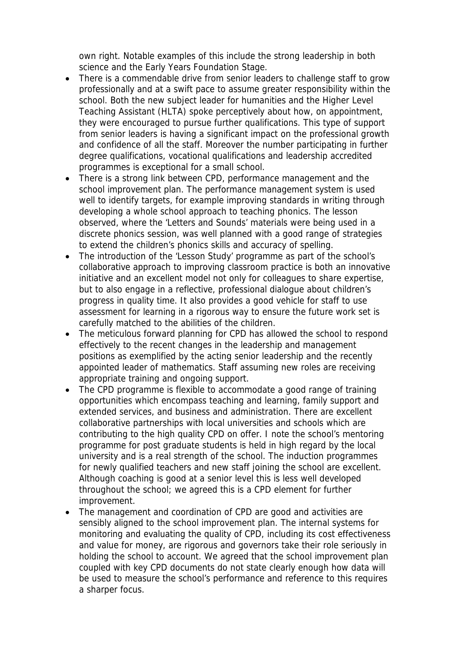own right. Notable examples of this include the strong leadership in both science and the Early Years Foundation Stage.

- There is a commendable drive from senior leaders to challenge staff to grow professionally and at a swift pace to assume greater responsibility within the school. Both the new subject leader for humanities and the Higher Level Teaching Assistant (HLTA) spoke perceptively about how, on appointment, they were encouraged to pursue further qualifications. This type of support from senior leaders is having a significant impact on the professional growth and confidence of all the staff. Moreover the number participating in further degree qualifications, vocational qualifications and leadership accredited programmes is exceptional for a small school.
- There is a strong link between CPD, performance management and the school improvement plan. The performance management system is used well to identify targets, for example improving standards in writing through developing a whole school approach to teaching phonics. The lesson observed, where the 'Letters and Sounds' materials were being used in a discrete phonics session, was well planned with a good range of strategies to extend the children's phonics skills and accuracy of spelling.
- The introduction of the 'Lesson Study' programme as part of the school's collaborative approach to improving classroom practice is both an innovative initiative and an excellent model not only for colleagues to share expertise, but to also engage in a reflective, professional dialogue about children's progress in quality time. It also provides a good vehicle for staff to use assessment for learning in a rigorous way to ensure the future work set is carefully matched to the abilities of the children.
- The meticulous forward planning for CPD has allowed the school to respond effectively to the recent changes in the leadership and management positions as exemplified by the acting senior leadership and the recently appointed leader of mathematics. Staff assuming new roles are receiving appropriate training and ongoing support.
- The CPD programme is flexible to accommodate a good range of training opportunities which encompass teaching and learning, family support and extended services, and business and administration. There are excellent collaborative partnerships with local universities and schools which are contributing to the high quality CPD on offer. I note the school's mentoring programme for post graduate students is held in high regard by the local university and is a real strength of the school. The induction programmes for newly qualified teachers and new staff joining the school are excellent. Although coaching is good at a senior level this is less well developed throughout the school; we agreed this is a CPD element for further improvement.
- The management and coordination of CPD are good and activities are sensibly aligned to the school improvement plan. The internal systems for monitoring and evaluating the quality of CPD, including its cost effectiveness and value for money, are rigorous and governors take their role seriously in holding the school to account. We agreed that the school improvement plan coupled with key CPD documents do not state clearly enough how data will be used to measure the school's performance and reference to this requires a sharper focus.